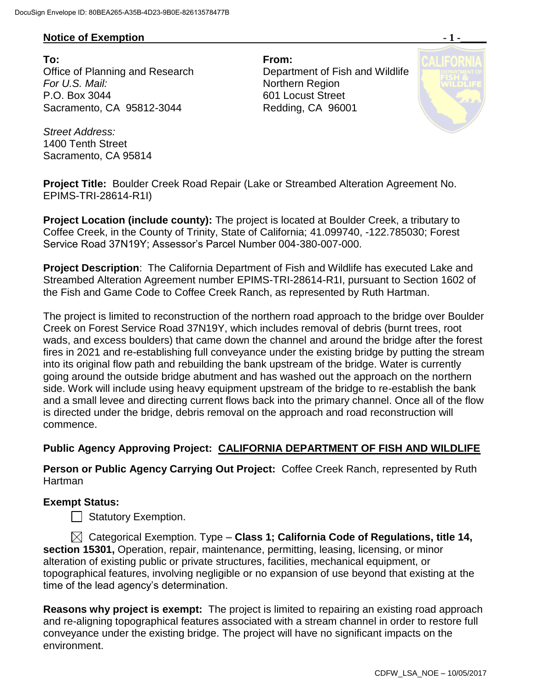## **Notice of Exemption**  $-1$  **-**

**To: From:**  Office of Planning and Research Department of Fish and Wildlife **For U.S. Mail:** Northern Region P.O. Box 3044 601 Locust Street Sacramento, CA 95812-3044 Redding, CA 96001



*Street Address:* 1400 Tenth Street Sacramento, CA 95814

**Project Title:** Boulder Creek Road Repair (Lake or Streambed Alteration Agreement No. EPIMS-TRI-28614-R1I)

**Project Location (include county):** The project is located at Boulder Creek, a tributary to Coffee Creek, in the County of Trinity, State of California; 41.099740, -122.785030; Forest Service Road 37N19Y; Assessor's Parcel Number 004-380-007-000.

**Project Description**: The California Department of Fish and Wildlife has executed Lake and Streambed Alteration Agreement number EPIMS-TRI-28614-R1I, pursuant to Section 1602 of the Fish and Game Code to Coffee Creek Ranch, as represented by Ruth Hartman.

The project is limited to reconstruction of the northern road approach to the bridge over Boulder Creek on Forest Service Road 37N19Y, which includes removal of debris (burnt trees, root wads, and excess boulders) that came down the channel and around the bridge after the forest fires in 2021 and re-establishing full conveyance under the existing bridge by putting the stream into its original flow path and rebuilding the bank upstream of the bridge. Water is currently going around the outside bridge abutment and has washed out the approach on the northern side. Work will include using heavy equipment upstream of the bridge to re-establish the bank and a small levee and directing current flows back into the primary channel. Once all of the flow is directed under the bridge, debris removal on the approach and road reconstruction will commence.

## **Public Agency Approving Project: CALIFORNIA DEPARTMENT OF FISH AND WILDLIFE**

**Person or Public Agency Carrying Out Project:** Coffee Creek Ranch, represented by Ruth Hartman

## **Exempt Status:**

Statutory Exemption.

 Categorical Exemption. Type – **Class 1; California Code of Regulations, title 14, section 15301,** Operation, repair, maintenance, permitting, leasing, licensing, or minor alteration of existing public or private structures, facilities, mechanical equipment, or topographical features, involving negligible or no expansion of use beyond that existing at the time of the lead agency's determination.

**Reasons why project is exempt:** The project is limited to repairing an existing road approach and re-aligning topographical features associated with a stream channel in order to restore full conveyance under the existing bridge. The project will have no significant impacts on the environment.